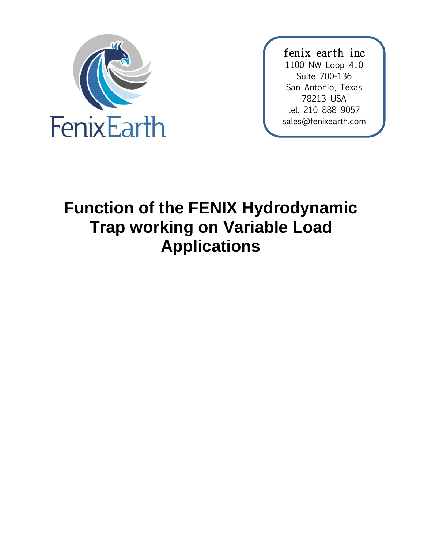

fenix earth inc 1100 NW Loop 410 Suite 700-136 San Antonio, Texas 78213 USA tel. 210 888 9057 sales@fenixearth.com

# **Function of the FENIX Hydrodynamic Trap working on Variable Load Applications**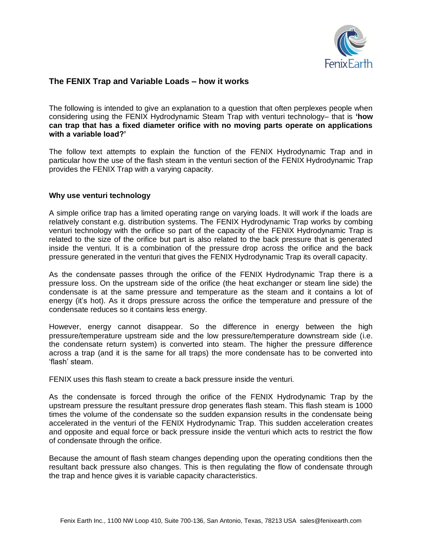

## **The FENIX Trap and Variable Loads – how it works**

The following is intended to give an explanation to a question that often perplexes people when considering using the FENIX Hydrodynamic Steam Trap with venturi technology– that is **'how can trap that has a fixed diameter orifice with no moving parts operate on applications with a variable load?'**

The follow text attempts to explain the function of the FENIX Hydrodynamic Trap and in particular how the use of the flash steam in the venturi section of the FENIX Hydrodynamic Trap provides the FENIX Trap with a varying capacity.

#### **Why use venturi technology**

A simple orifice trap has a limited operating range on varying loads. It will work if the loads are relatively constant e.g. distribution systems. The FENIX Hydrodynamic Trap works by combing venturi technology with the orifice so part of the capacity of the FENIX Hydrodynamic Trap is related to the size of the orifice but part is also related to the back pressure that is generated inside the venturi. It is a combination of the pressure drop across the orifice and the back pressure generated in the venturi that gives the FENIX Hydrodynamic Trap its overall capacity.

As the condensate passes through the orifice of the FENIX Hydrodynamic Trap there is a pressure loss. On the upstream side of the orifice (the heat exchanger or steam line side) the condensate is at the same pressure and temperature as the steam and it contains a lot of energy (it's hot). As it drops pressure across the orifice the temperature and pressure of the condensate reduces so it contains less energy.

However, energy cannot disappear. So the difference in energy between the high pressure/temperature upstream side and the low pressure/temperature downstream side (i.e. the condensate return system) is converted into steam. The higher the pressure difference across a trap (and it is the same for all traps) the more condensate has to be converted into 'flash' steam.

FENIX uses this flash steam to create a back pressure inside the venturi.

As the condensate is forced through the orifice of the FENIX Hydrodynamic Trap by the upstream pressure the resultant pressure drop generates flash steam. This flash steam is 1000 times the volume of the condensate so the sudden expansion results in the condensate being accelerated in the venturi of the FENIX Hydrodynamic Trap. This sudden acceleration creates and opposite and equal force or back pressure inside the venturi which acts to restrict the flow of condensate through the orifice.

Because the amount of flash steam changes depending upon the operating conditions then the resultant back pressure also changes. This is then regulating the flow of condensate through the trap and hence gives it is variable capacity characteristics.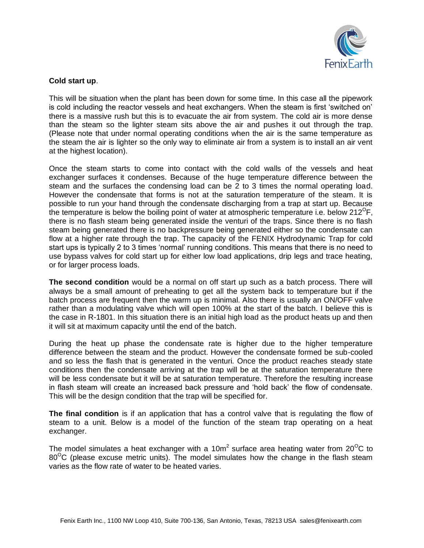

#### **Cold start up**.

This will be situation when the plant has been down for some time. In this case all the pipework is cold including the reactor vessels and heat exchangers. When the steam is first 'switched on' there is a massive rush but this is to evacuate the air from system. The cold air is more dense than the steam so the lighter steam sits above the air and pushes it out through the trap. (Please note that under normal operating conditions when the air is the same temperature as the steam the air is lighter so the only way to eliminate air from a system is to install an air vent at the highest location).

Once the steam starts to come into contact with the cold walls of the vessels and heat exchanger surfaces it condenses. Because of the huge temperature difference between the steam and the surfaces the condensing load can be 2 to 3 times the normal operating load. However the condensate that forms is not at the saturation temperature of the steam. It is possible to run your hand through the condensate discharging from a trap at start up. Because the temperature is below the boiling point of water at atmospheric temperature i.e. below  $212^{\circ}$ F, there is no flash steam being generated inside the venturi of the traps. Since there is no flash steam being generated there is no backpressure being generated either so the condensate can flow at a higher rate through the trap. The capacity of the FENIX Hydrodynamic Trap for cold start ups is typically 2 to 3 times 'normal' running conditions. This means that there is no need to use bypass valves for cold start up for either low load applications, drip legs and trace heating, or for larger process loads.

**The second condition** would be a normal on off start up such as a batch process. There will always be a small amount of preheating to get all the system back to temperature but if the batch process are frequent then the warm up is minimal. Also there is usually an ON/OFF valve rather than a modulating valve which will open 100% at the start of the batch. I believe this is the case in R-1801. In this situation there is an initial high load as the product heats up and then it will sit at maximum capacity until the end of the batch.

During the heat up phase the condensate rate is higher due to the higher temperature difference between the steam and the product. However the condensate formed be sub-cooled and so less the flash that is generated in the venturi. Once the product reaches steady state conditions then the condensate arriving at the trap will be at the saturation temperature there will be less condensate but it will be at saturation temperature. Therefore the resulting increase in flash steam will create an increased back pressure and 'hold back' the flow of condensate. This will be the design condition that the trap will be specified for.

**The final condition** is if an application that has a control valve that is regulating the flow of steam to a unit. Below is a model of the function of the steam trap operating on a heat exchanger.

The model simulates a heat exchanger with a 10m<sup>2</sup> surface area heating water from 20<sup>o</sup>C to  $80^{\circ}$ C (please excuse metric units). The model simulates how the change in the flash steam varies as the flow rate of water to be heated varies.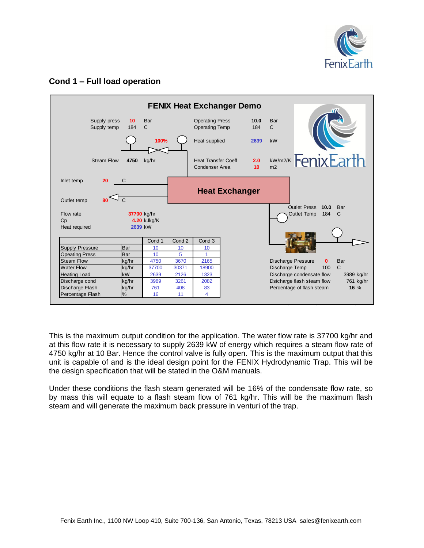

## **Cond 1 – Full load operation**



This is the maximum output condition for the application. The water flow rate is 37700 kg/hr and at this flow rate it is necessary to supply 2639 kW of energy which requires a steam flow rate of 4750 kg/hr at 10 Bar. Hence the control valve is fully open. This is the maximum output that this unit is capable of and is the ideal design point for the FENIX Hydrodynamic Trap. This will be the design specification that will be stated in the O&M manuals.

Under these conditions the flash steam generated will be 16% of the condensate flow rate, so by mass this will equate to a flash steam flow of 761 kg/hr. This will be the maximum flash steam and will generate the maximum back pressure in venturi of the trap.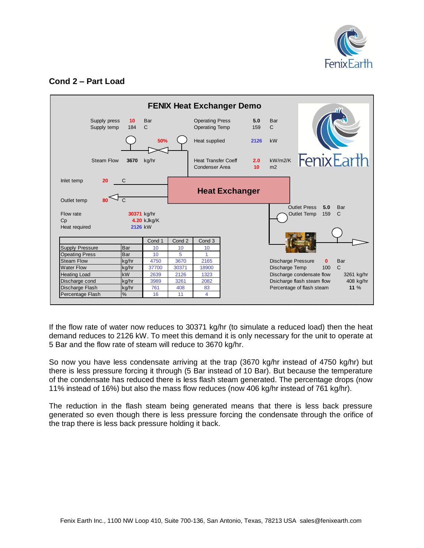

# **Cond 2 – Part Load**



If the flow rate of water now reduces to 30371 kg/hr (to simulate a reduced load) then the heat demand reduces to 2126 kW. To meet this demand it is only necessary for the unit to operate at 5 Bar and the flow rate of steam will reduce to 3670 kg/hr.

So now you have less condensate arriving at the trap (3670 kg/hr instead of 4750 kg/hr) but there is less pressure forcing it through (5 Bar instead of 10 Bar). But because the temperature of the condensate has reduced there is less flash steam generated. The percentage drops (now 11% instead of 16%) but also the mass flow reduces (now 406 kg/hr instead of 761 kg/hr).

The reduction in the flash steam being generated means that there is less back pressure generated so even though there is less pressure forcing the condensate through the orifice of the trap there is less back pressure holding it back.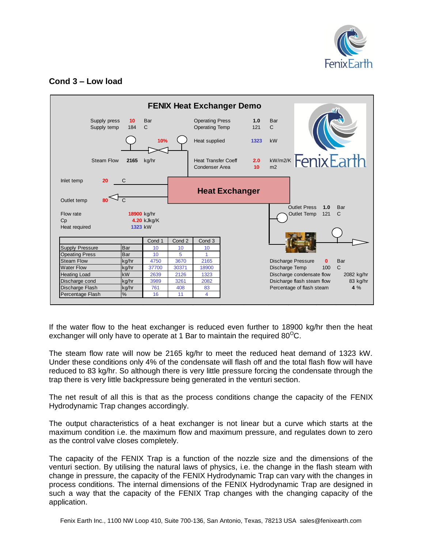

# **Cond 3 – Low load**



If the water flow to the heat exchanger is reduced even further to 18900 kg/hr then the heat exchanger will only have to operate at 1 Bar to maintain the required 80 $^{\circ}$ C.

The steam flow rate will now be 2165 kg/hr to meet the reduced heat demand of 1323 kW. Under these conditions only 4% of the condensate will flash off and the total flash flow will have reduced to 83 kg/hr. So although there is very little pressure forcing the condensate through the trap there is very little backpressure being generated in the venturi section.

The net result of all this is that as the process conditions change the capacity of the FENIX Hydrodynamic Trap changes accordingly.

The output characteristics of a heat exchanger is not linear but a curve which starts at the maximum condition i.e. the maximum flow and maximum pressure, and regulates down to zero as the control valve closes completely.

The capacity of the FENIX Trap is a function of the nozzle size and the dimensions of the venturi section. By utilising the natural laws of physics, i.e. the change in the flash steam with change in pressure, the capacity of the FENIX Hydrodynamic Trap can vary with the changes in process conditions. The internal dimensions of the FENIX Hydrodynamic Trap are designed in such a way that the capacity of the FENIX Trap changes with the changing capacity of the